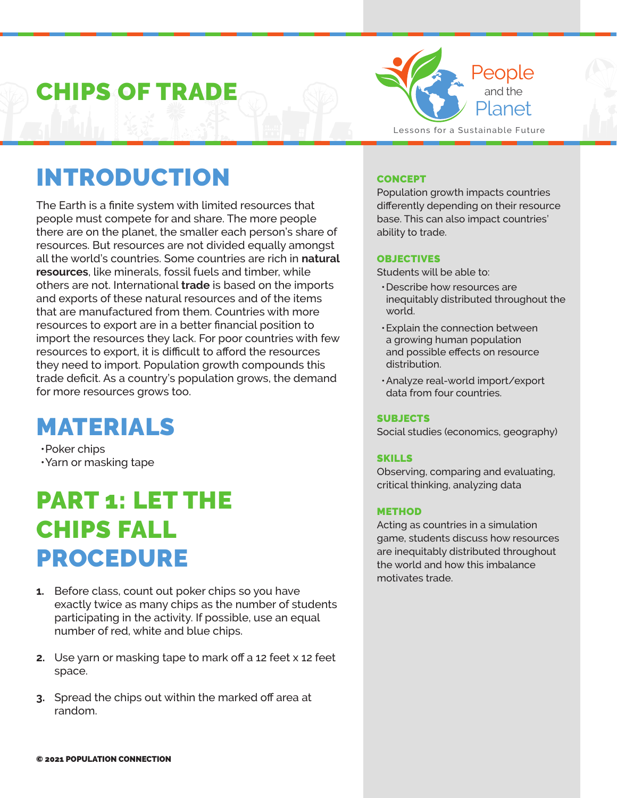## CHIPS OF TRADE



### INTRODUCTION

The Earth is a finite system with limited resources that people must compete for and share. The more people there are on the planet, the smaller each person's share of resources. But resources are not divided equally amongst all the world's countries. Some countries are rich in **natural resources**, like minerals, fossil fuels and timber, while others are not. International **trade** is based on the imports and exports of these natural resources and of the items that are manufactured from them. Countries with more resources to export are in a better financial position to import the resources they lack. For poor countries with few resources to export, it is difficult to afford the resources they need to import. Population growth compounds this trade deficit. As a country's population grows, the demand for more resources grows too.

### MATERIALS

•Poker chips •Yarn or masking tape

### PART 1: LET THE CHIPS FALL PROCEDURE

- **1.** Before class, count out poker chips so you have exactly twice as many chips as the number of students participating in the activity. If possible, use an equal number of red, white and blue chips.
- **2.** Use yarn or masking tape to mark off a 12 feet x 12 feet space.
- **3.** Spread the chips out within the marked off area at random.

### **CONCEPT**

Population growth impacts countries differently depending on their resource base. This can also impact countries' ability to trade.

#### **OBJECTIVES**

Students will be able to:

- •Describe how resources are inequitably distributed throughout the world.
- •Explain the connection between a growing human population and possible effects on resource distribution.
- •Analyze real-world import/export data from four countries.

#### **SUBJECTS**

Social studies (economics, geography)

#### SKILLS

Observing, comparing and evaluating, critical thinking, analyzing data

#### METHOD

Acting as countries in a simulation game, students discuss how resources are inequitably distributed throughout the world and how this imbalance motivates trade.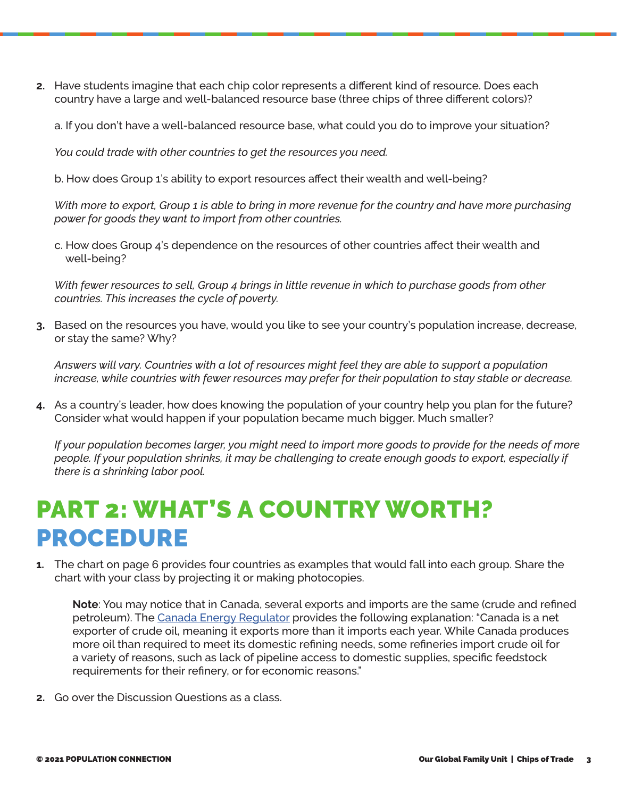**2.** Have students imagine that each chip color represents a different kind of resource. Does each country have a large and well-balanced resource base (three chips of three different colors)?

a. If you don't have a well-balanced resource base, what could you do to improve your situation?

*You could trade with other countries to get the resources you need.*

b. How does Group 1's ability to export resources affect their wealth and well-being?

*With more to export, Group 1 is able to bring in more revenue for the country and have more purchasing power for goods they want to import from other countries.*

c. How does Group 4's dependence on the resources of other countries affect their wealth and well-being?

*With fewer resources to sell, Group 4 brings in little revenue in which to purchase goods from other countries. This increases the cycle of poverty.*

**3.** Based on the resources you have, would you like to see your country's population increase, decrease, or stay the same? Why?

*Answers will vary. Countries with a lot of resources might feel they are able to support a population increase, while countries with fewer resources may prefer for their population to stay stable or decrease.* 

**4.** As a country's leader, how does knowing the population of your country help you plan for the future? Consider what would happen if your population became much bigger. Much smaller?

*If your population becomes larger, you might need to import more goods to provide for the needs of more people. If your population shrinks, it may be challenging to create enough goods to export, especially if there is a shrinking labor pool.* 

### PART 2: WHAT'S A COUNTRY WORTH? PROCEDURE

**1.** The chart on page 6 provides four countries as examples that would fall into each group. Share the chart with your class by projecting it or making photocopies.

**Note**: You may notice that in Canada, several exports and imports are the same (crude and refined petroleum). The [Canada Energy Regulator](https://www.cer-rec.gc.ca/en/data-analysis/energy-markets/market-snapshots/2021/market-snapshot-crude-oil-imports-decreased-in-2020-and-so-did-the-cost.html) provides the following explanation: "Canada is a net exporter of crude oil, meaning it exports more than it imports each year. While Canada produces more oil than required to meet its domestic refining needs, some refineries import crude oil for a variety of reasons, such as lack of pipeline access to domestic supplies, specific feedstock requirements for their refinery, or for economic reasons."

**2.** Go over the Discussion Questions as a class.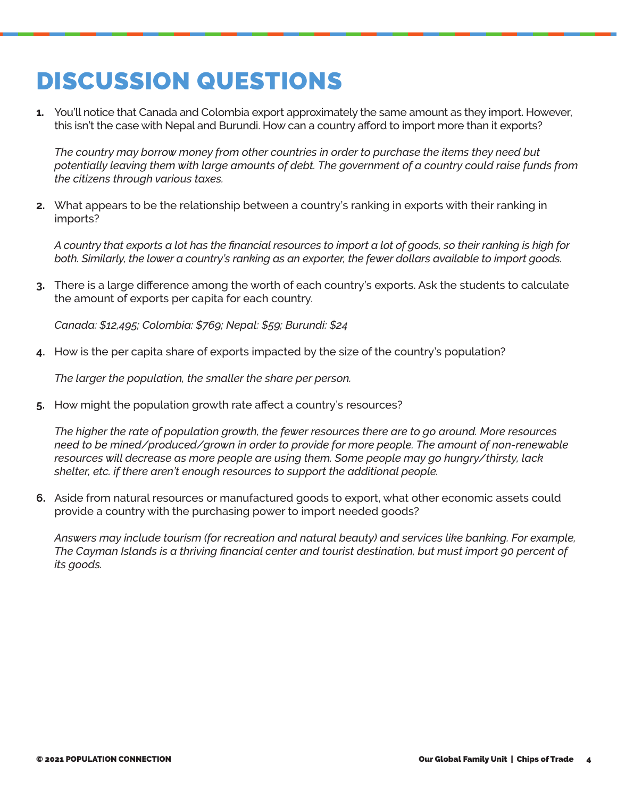### DISCUSSION QUESTIONS

**1.** You'll notice that Canada and Colombia export approximately the same amount as they import. However, this isn't the case with Nepal and Burundi. How can a country afford to import more than it exports?

*The country may borrow money from other countries in order to purchase the items they need but potentially leaving them with large amounts of debt. The government of a country could raise funds from the citizens through various taxes.*

**2.** What appears to be the relationship between a country's ranking in exports with their ranking in imports?

*A country that exports a lot has the financial resources to import a lot of goods, so their ranking is high for both. Similarly, the lower a country's ranking as an exporter, the fewer dollars available to import goods.*

**3.** There is a large difference among the worth of each country's exports. Ask the students to calculate the amount of exports per capita for each country.

*Canada: \$12,495; Colombia: \$769; Nepal: \$59; Burundi: \$24*

**4.** How is the per capita share of exports impacted by the size of the country's population?

*The larger the population, the smaller the share per person.* 

**5.** How might the population growth rate affect a country's resources?

*The higher the rate of population growth, the fewer resources there are to go around. More resources need to be mined/produced/grown in order to provide for more people. The amount of non-renewable resources will decrease as more people are using them. Some people may go hungry/thirsty, lack shelter, etc. if there aren't enough resources to support the additional people.*

**6.** Aside from natural resources or manufactured goods to export, what other economic assets could provide a country with the purchasing power to import needed goods?

*Answers may include tourism (for recreation and natural beauty) and services like banking. For example, The Cayman Islands is a thriving financial center and tourist destination, but must import 90 percent of its goods.*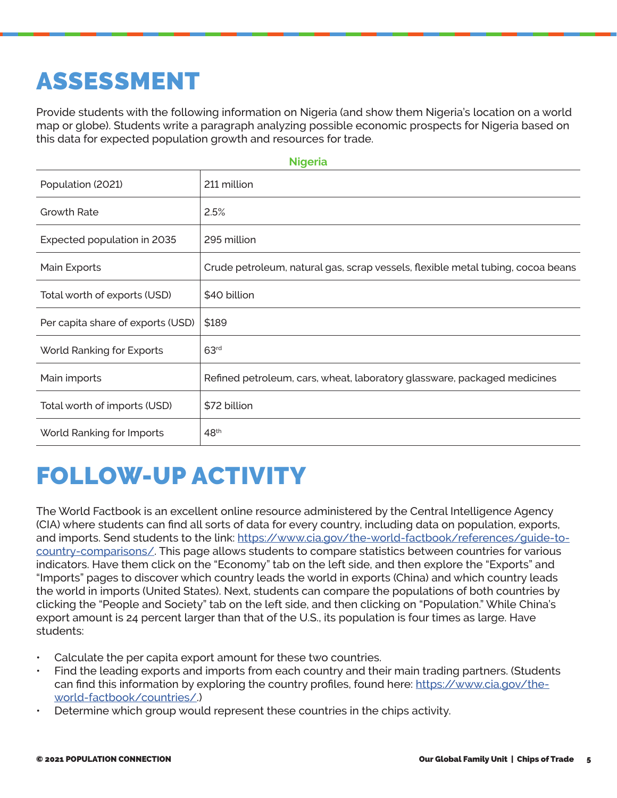# ASSESSMENT

Provide students with the following information on Nigeria (and show them Nigeria's location on a world map or globe). Students write a paragraph analyzing possible economic prospects for Nigeria based on this data for expected population growth and resources for trade.

| <b>Nigeria</b>                    |                                                                                 |  |  |  |
|-----------------------------------|---------------------------------------------------------------------------------|--|--|--|
| Population (2021)                 | 211 million                                                                     |  |  |  |
| <b>Growth Rate</b>                | 2.5%                                                                            |  |  |  |
| Expected population in 2035       | 295 million                                                                     |  |  |  |
| Main Exports                      | Crude petroleum, natural gas, scrap vessels, flexible metal tubing, cocoa beans |  |  |  |
| Total worth of exports (USD)      | \$40 billion                                                                    |  |  |  |
| Per capita share of exports (USD) | \$189                                                                           |  |  |  |
| World Ranking for Exports         | 63 <sup>rd</sup>                                                                |  |  |  |
| Main imports                      | Refined petroleum, cars, wheat, laboratory glassware, packaged medicines        |  |  |  |
| Total worth of imports (USD)      | \$72 billion                                                                    |  |  |  |
| World Ranking for Imports         | 48 <sup>th</sup>                                                                |  |  |  |

### FOLLOW-UP ACTIVITY

The World Factbook is an excellent online resource administered by the Central Intelligence Agency (CIA) where students can find all sorts of data for every country, including data on population, exports, and imports. Send students to the link: [https://www.cia.gov/the-world-factbook/references/guide-to](https://www.cia.gov/the-world-factbook/references/guide-to-country-comparisons/)[country-comparisons/](https://www.cia.gov/the-world-factbook/references/guide-to-country-comparisons/). This page allows students to compare statistics between countries for various indicators. Have them click on the "Economy" tab on the left side, and then explore the "Exports" and "Imports" pages to discover which country leads the world in exports (China) and which country leads the world in imports (United States). Next, students can compare the populations of both countries by clicking the "People and Society" tab on the left side, and then clicking on "Population." While China's export amount is 24 percent larger than that of the U.S., its population is four times as large. Have students:

- Calculate the per capita export amount for these two countries.
- Find the leading exports and imports from each country and their main trading partners. (Students can find this information by exploring the country profiles, found here: [https://www.cia.gov/the](https://www.cia.gov/the-world-factbook/countries/)[world-factbook/countries/](https://www.cia.gov/the-world-factbook/countries/).)
- Determine which group would represent these countries in the chips activity.